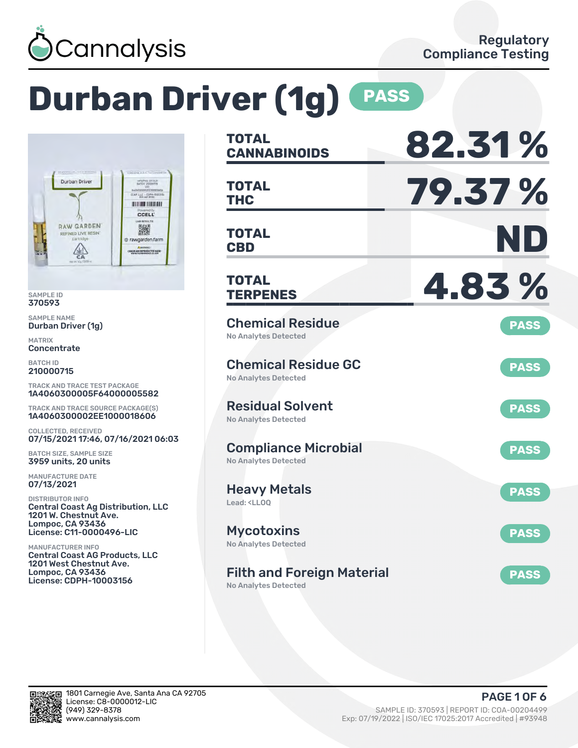

# **Durban Driver (1g) PASS**



SAMPLE ID 370593

SAMPLE NAME Durban Driver (1g)

MATRIX **Concentrate** 

BATCH ID 210000715

TRACK AND TRACE TEST PACKAGE 1A4060300005F64000005582

TRACK AND TRACE SOURCE PACKAGE(S) 1A4060300002EE1000018606

COLLECTED, RECEIVED 07/15/2021 17:46, 07/16/2021 06:03

BATCH SIZE, SAMPLE SIZE 3959 units, 20 units

MANUFACTURE DATE 07/13/2021

DISTRIBUTOR INFO Central Coast Ag Distribution, LLC 1201 W. Chestnut Ave. Lompoc, CA 93436 License: C11-0000496-LIC

MANUFACTURER INFO Central Coast AG Products, LLC 1201 West Chestnut Ave. Lompoc, CA 93436 License: CDPH-10003156

| TOTAL<br><b>CANNABINOIDS</b>                                           | 82.31%         |
|------------------------------------------------------------------------|----------------|
| <b>TOTAL</b><br><b>THC</b>                                             | <b>79.37 %</b> |
| <b>TOTAL</b><br><b>CBD</b>                                             | ND             |
| <b>TOTAL</b><br><b>TERPENES</b>                                        | 4.83%          |
| <b>Chemical Residue</b><br><b>No Analytes Detected</b>                 | <b>PASS</b>    |
| <b>Chemical Residue GC</b><br><b>No Analytes Detected</b>              | <b>PASS</b>    |
| <b>Residual Solvent</b><br><b>No Analytes Detected</b>                 | <b>PASS</b>    |
| <b>Compliance Microbial</b><br><b>No Analytes Detected</b>             | <b>PASS</b>    |
| <b>Heavy Metals</b><br>Lead: <ll00< td=""><td><b>PASS</b></td></ll00<> | <b>PASS</b>    |
| <b>Mycotoxins</b><br><b>No Analytes Detected</b>                       | <b>PASS</b>    |
| <b>Filth and Foreign Material</b><br><b>No Analytes Detected</b>       | <b>PASS</b>    |

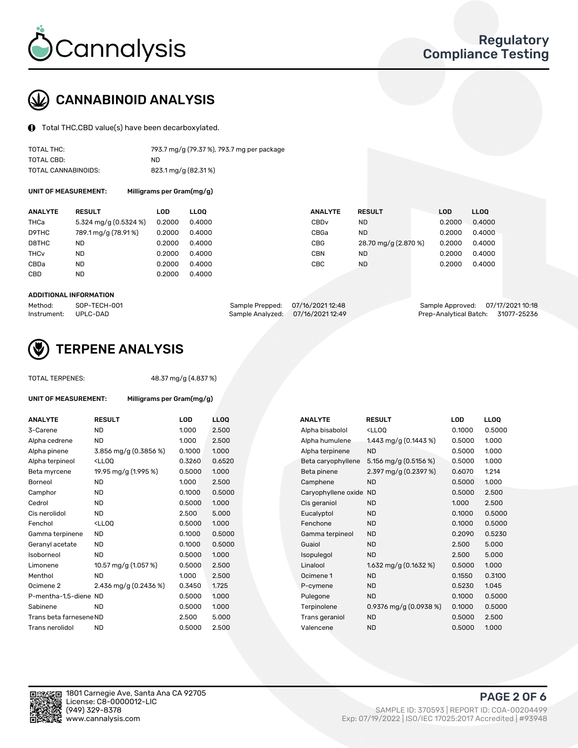

## CANNABINOID ANALYSIS

Total THC,CBD value(s) have been decarboxylated.

| TOTAL THC:          | 793.7 mg/g (79.37 %), 793.7 mg per package |
|---------------------|--------------------------------------------|
| TOTAL CBD:          | ND.                                        |
| TOTAL CANNABINOIDS: | 823.1 mg/g (82.31%)                        |

UNIT OF MEASUREMENT: Milligrams per Gram(mg/g)

| <b>ANALYTE</b>         | <b>RESULT</b>         | LOD    | <b>LLOO</b> | <b>ANALYTE</b>   | <b>RESULT</b>        | <b>LOD</b> | LL <sub>00</sub> |
|------------------------|-----------------------|--------|-------------|------------------|----------------------|------------|------------------|
| <b>THCa</b>            | 5.324 mg/g (0.5324 %) | 0.2000 | 0.4000      | CBD <sub>v</sub> | ND                   | 0.2000     | 0.4000           |
| D9THC                  | 789.1 mg/g (78.91 %)  | 0.2000 | 0.4000      | CBGa             | <b>ND</b>            | 0.2000     | 0.4000           |
| D8THC                  | ND                    | 0.2000 | 0.4000      | <b>CBG</b>       | 28.70 mg/g (2.870 %) | 0.2000     | 0.4000           |
| <b>THC<sub>v</sub></b> | <b>ND</b>             | 0.2000 | 0.4000      | CBN              | ND                   | 0.2000     | 0.4000           |
| CBDa                   | <b>ND</b>             | 0.2000 | 0.4000      | СВС              | ND                   | 0.2000     | 0.4000           |
| <b>CBD</b>             | <b>ND</b>             | 0.2000 | 0.4000      |                  |                      |            |                  |

#### ADDITIONAL INFORMATION

| Method:              | SOP-TECH-001 | Sample Prepped: 07/16/2021 12:48  | Sample Approved: 07/17/2021 10:18  |  |
|----------------------|--------------|-----------------------------------|------------------------------------|--|
| Instrument: UPLC-DAD |              | Sample Analyzed: 07/16/2021 12:49 | Prep-Analytical Batch: 31077-25236 |  |



## TERPENE ANALYSIS

UNIT OF MEASUREMENT: Milligrams per Gram(mg/g)

48.37 mg/g (4.837 %)

| <b>ANALYTE</b>          | <b>RESULT</b>                                                                                                                             | <b>LOD</b> | LL <sub>OO</sub> | <b>ANALYTE</b>         | <b>RESULT</b>                                       | <b>LOD</b> | <b>LLOQ</b> |
|-------------------------|-------------------------------------------------------------------------------------------------------------------------------------------|------------|------------------|------------------------|-----------------------------------------------------|------------|-------------|
| 3-Carene                | <b>ND</b>                                                                                                                                 | 1.000      | 2.500            | Alpha bisabolol        | <ll0q< td=""><td>0.1000</td><td>0.5000</td></ll0q<> | 0.1000     | 0.5000      |
| Alpha cedrene           | <b>ND</b>                                                                                                                                 | 1.000      | 2.500            | Alpha humulene         | 1.443 mg/g (0.1443 %)                               | 0.5000     | 1.000       |
| Alpha pinene            | 3.856 mg/g (0.3856 %)                                                                                                                     | 0.1000     | 1.000            | Alpha terpinene        | <b>ND</b>                                           | 0.5000     | 1.000       |
| Alpha terpineol         | <lloq< td=""><td>0.3260</td><td>0.6520</td><td>Beta caryophyllene</td><td>5.156 mg/g (0.5156 %)</td><td>0.5000</td><td>1.000</td></lloq<> | 0.3260     | 0.6520           | Beta caryophyllene     | 5.156 mg/g (0.5156 %)                               | 0.5000     | 1.000       |
| Beta myrcene            | 19.95 mg/g (1.995 %)                                                                                                                      | 0.5000     | 1.000            | Beta pinene            | 2.397 mg/g (0.2397 %)                               | 0.6070     | 1.214       |
| Borneol                 | <b>ND</b>                                                                                                                                 | 1.000      | 2.500            | Camphene               | <b>ND</b>                                           | 0.5000     | 1.000       |
| Camphor                 | <b>ND</b>                                                                                                                                 | 0.1000     | 0.5000           | Caryophyllene oxide ND |                                                     | 0.5000     | 2.500       |
| Cedrol                  | <b>ND</b>                                                                                                                                 | 0.5000     | 1.000            | Cis geraniol           | <b>ND</b>                                           | 1.000      | 2.500       |
| Cis nerolidol           | <b>ND</b>                                                                                                                                 | 2.500      | 5.000            | Eucalyptol             | <b>ND</b>                                           | 0.1000     | 0.5000      |
| Fenchol                 | <lloq< td=""><td>0.5000</td><td>1.000</td><td>Fenchone</td><td><b>ND</b></td><td>0.1000</td><td>0.5000</td></lloq<>                       | 0.5000     | 1.000            | Fenchone               | <b>ND</b>                                           | 0.1000     | 0.5000      |
| Gamma terpinene         | <b>ND</b>                                                                                                                                 | 0.1000     | 0.5000           | Gamma terpineol        | <b>ND</b>                                           | 0.2090     | 0.5230      |
| Geranyl acetate         | <b>ND</b>                                                                                                                                 | 0.1000     | 0.5000           | Guaiol                 | <b>ND</b>                                           | 2.500      | 5.000       |
| Isoborneol              | <b>ND</b>                                                                                                                                 | 0.5000     | 1.000            | Isopulegol             | <b>ND</b>                                           | 2.500      | 5.000       |
| Limonene                | 10.57 mg/g (1.057 %)                                                                                                                      | 0.5000     | 2.500            | Linalool               | 1.632 mg/g (0.1632 %)                               | 0.5000     | 1.000       |
| Menthol                 | <b>ND</b>                                                                                                                                 | 1.000      | 2.500            | Ocimene 1              | <b>ND</b>                                           | 0.1550     | 0.3100      |
| Ocimene 2               | 2.436 mg/g (0.2436 %)                                                                                                                     | 0.3450     | 1.725            | P-cymene               | <b>ND</b>                                           | 0.5230     | 1.045       |
| P-mentha-1,5-diene ND   |                                                                                                                                           | 0.5000     | 1.000            | Pulegone               | <b>ND</b>                                           | 0.1000     | 0.5000      |
| Sabinene                | <b>ND</b>                                                                                                                                 | 0.5000     | 1.000            | Terpinolene            | 0.9376 mg/g $(0.0938\%)$                            | 0.1000     | 0.5000      |
| Trans beta farnesene ND |                                                                                                                                           | 2.500      | 5.000            | Trans geraniol         | <b>ND</b>                                           | 0.5000     | 2.500       |
| Trans nerolidol         | <b>ND</b>                                                                                                                                 | 0.5000     | 2.500            | Valencene              | <b>ND</b>                                           | 0.5000     | 1.000       |

| <b>ANALYTE</b>      | <b>RESULT</b>                                       | LOD    | LLOQ   |
|---------------------|-----------------------------------------------------|--------|--------|
| Alpha bisabolol     | <lloq< td=""><td>0.1000</td><td>0.5000</td></lloq<> | 0.1000 | 0.5000 |
| Alpha humulene      | 1.443 mg/g $(0.1443 \%)$                            | 0.5000 | 1.000  |
| Alpha terpinene     | <b>ND</b>                                           | 0.5000 | 1.000  |
| Beta caryophyllene  | 5.156 mg/g $(0.5156\%)$                             | 0.5000 | 1.000  |
| Beta pinene         | 2.397 mg/g (0.2397 %)                               | 0.6070 | 1.214  |
| Camphene            | <b>ND</b>                                           | 0.5000 | 1.000  |
| Caryophyllene oxide | <b>ND</b>                                           | 0.5000 | 2.500  |
| Cis geraniol        | <b>ND</b>                                           | 1.000  | 2.500  |
| Eucalyptol          | <b>ND</b>                                           | 0.1000 | 0.5000 |
| Fenchone            | <b>ND</b>                                           | 0.1000 | 0.5000 |
| Gamma terpineol     | <b>ND</b>                                           | 0.2090 | 0.5230 |
| Guaiol              | <b>ND</b>                                           | 2.500  | 5.000  |
| Isopulegol          | <b>ND</b>                                           | 2.500  | 5.000  |
| Linalool            | 1.632 mg/g $(0.1632%)$                              | 0.5000 | 1.000  |
| Ocimene 1           | <b>ND</b>                                           | 0.1550 | 0.3100 |
| P-cymene            | <b>ND</b>                                           | 0.5230 | 1.045  |
| Pulegone            | <b>ND</b>                                           | 0.1000 | 0.5000 |
| Terpinolene         | $0.9376$ mg/g $(0.0938\%)$                          | 0.1000 | 0.5000 |
| Trans geraniol      | <b>ND</b>                                           | 0.5000 | 2.500  |
| Valencene           | <b>ND</b>                                           | 0.5000 | 1.000  |

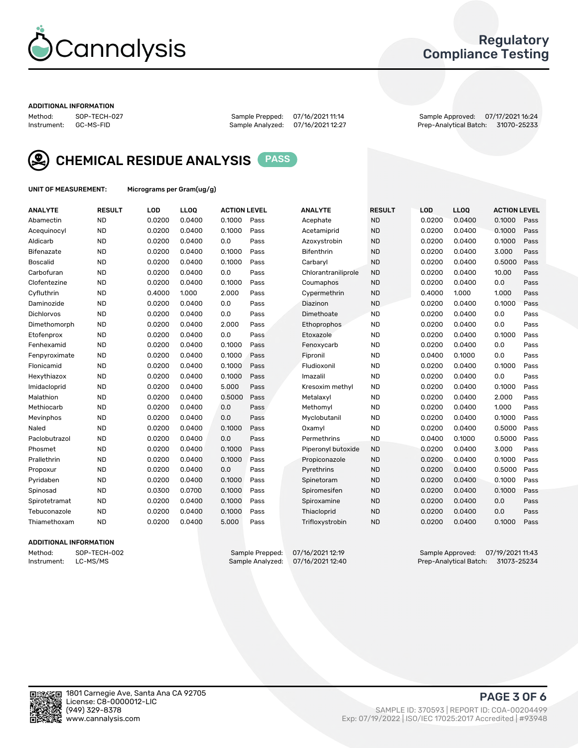

### Regulatory Compliance Testing

#### ADDITIONAL INFORMATION

Method: SOP-TECH-027 Sample Prepped: 07/16/2021 11:14 Sample Approved: 07/17/2021 16:24 Prep-Analytical Batch: 31070-25233



CHEMICAL RESIDUE ANALYSIS PASS

UNIT OF MEASUREMENT: Micrograms per Gram(ug/g)

| <b>ANALYTE</b>    | <b>RESULT</b> | LOD    | LLOQ   | <b>ACTION LEVEL</b> |      | <b>ANALYTE</b>      | <b>RESULT</b> | <b>LOD</b> | <b>LLOQ</b> | <b>ACTION LEVEL</b> |      |
|-------------------|---------------|--------|--------|---------------------|------|---------------------|---------------|------------|-------------|---------------------|------|
| Abamectin         | <b>ND</b>     | 0.0200 | 0.0400 | 0.1000              | Pass | Acephate            | <b>ND</b>     | 0.0200     | 0.0400      | 0.1000              | Pass |
| Acequinocyl       | <b>ND</b>     | 0.0200 | 0.0400 | 0.1000              | Pass | Acetamiprid         | <b>ND</b>     | 0.0200     | 0.0400      | 0.1000              | Pass |
| Aldicarb          | <b>ND</b>     | 0.0200 | 0.0400 | 0.0                 | Pass | Azoxystrobin        | <b>ND</b>     | 0.0200     | 0.0400      | 0.1000              | Pass |
| Bifenazate        | <b>ND</b>     | 0.0200 | 0.0400 | 0.1000              | Pass | <b>Bifenthrin</b>   | <b>ND</b>     | 0.0200     | 0.0400      | 3.000               | Pass |
| <b>Boscalid</b>   | <b>ND</b>     | 0.0200 | 0.0400 | 0.1000              | Pass | Carbarvl            | <b>ND</b>     | 0.0200     | 0.0400      | 0.5000              | Pass |
| Carbofuran        | <b>ND</b>     | 0.0200 | 0.0400 | 0.0                 | Pass | Chlorantraniliprole | <b>ND</b>     | 0.0200     | 0.0400      | 10.00               | Pass |
| Clofentezine      | <b>ND</b>     | 0.0200 | 0.0400 | 0.1000              | Pass | Coumaphos           | <b>ND</b>     | 0.0200     | 0.0400      | 0.0                 | Pass |
| Cyfluthrin        | <b>ND</b>     | 0.4000 | 1.000  | 2.000               | Pass | Cypermethrin        | <b>ND</b>     | 0.4000     | 1.000       | 1.000               | Pass |
| Daminozide        | <b>ND</b>     | 0.0200 | 0.0400 | 0.0                 | Pass | Diazinon            | <b>ND</b>     | 0.0200     | 0.0400      | 0.1000              | Pass |
| <b>Dichlorvos</b> | <b>ND</b>     | 0.0200 | 0.0400 | 0.0                 | Pass | Dimethoate          | <b>ND</b>     | 0.0200     | 0.0400      | 0.0                 | Pass |
| Dimethomorph      | <b>ND</b>     | 0.0200 | 0.0400 | 2.000               | Pass | <b>Ethoprophos</b>  | <b>ND</b>     | 0.0200     | 0.0400      | 0.0                 | Pass |
| Etofenprox        | <b>ND</b>     | 0.0200 | 0.0400 | 0.0                 | Pass | Etoxazole           | <b>ND</b>     | 0.0200     | 0.0400      | 0.1000              | Pass |
| Fenhexamid        | <b>ND</b>     | 0.0200 | 0.0400 | 0.1000              | Pass | Fenoxycarb          | <b>ND</b>     | 0.0200     | 0.0400      | 0.0                 | Pass |
| Fenpyroximate     | <b>ND</b>     | 0.0200 | 0.0400 | 0.1000              | Pass | Fipronil            | <b>ND</b>     | 0.0400     | 0.1000      | 0.0                 | Pass |
| Flonicamid        | <b>ND</b>     | 0.0200 | 0.0400 | 0.1000              | Pass | Fludioxonil         | <b>ND</b>     | 0.0200     | 0.0400      | 0.1000              | Pass |
| Hexythiazox       | <b>ND</b>     | 0.0200 | 0.0400 | 0.1000              | Pass | Imazalil            | <b>ND</b>     | 0.0200     | 0.0400      | 0.0                 | Pass |
| Imidacloprid      | <b>ND</b>     | 0.0200 | 0.0400 | 5.000               | Pass | Kresoxim methyl     | <b>ND</b>     | 0.0200     | 0.0400      | 0.1000              | Pass |
| Malathion         | <b>ND</b>     | 0.0200 | 0.0400 | 0.5000              | Pass | Metalaxyl           | <b>ND</b>     | 0.0200     | 0.0400      | 2.000               | Pass |
| Methiocarb        | <b>ND</b>     | 0.0200 | 0.0400 | 0.0                 | Pass | Methomyl            | <b>ND</b>     | 0.0200     | 0.0400      | 1.000               | Pass |
| Mevinphos         | <b>ND</b>     | 0.0200 | 0.0400 | 0.0                 | Pass | Myclobutanil        | <b>ND</b>     | 0.0200     | 0.0400      | 0.1000              | Pass |
| Naled             | <b>ND</b>     | 0.0200 | 0.0400 | 0.1000              | Pass | Oxamyl              | <b>ND</b>     | 0.0200     | 0.0400      | 0.5000              | Pass |
| Paclobutrazol     | <b>ND</b>     | 0.0200 | 0.0400 | 0.0                 | Pass | Permethrins         | <b>ND</b>     | 0.0400     | 0.1000      | 0.5000              | Pass |
| Phosmet           | <b>ND</b>     | 0.0200 | 0.0400 | 0.1000              | Pass | Piperonyl butoxide  | <b>ND</b>     | 0.0200     | 0.0400      | 3.000               | Pass |
| Prallethrin       | <b>ND</b>     | 0.0200 | 0.0400 | 0.1000              | Pass | Propiconazole       | <b>ND</b>     | 0.0200     | 0.0400      | 0.1000              | Pass |
| Propoxur          | <b>ND</b>     | 0.0200 | 0.0400 | 0.0                 | Pass | Pyrethrins          | <b>ND</b>     | 0.0200     | 0.0400      | 0.5000              | Pass |
| Pyridaben         | <b>ND</b>     | 0.0200 | 0.0400 | 0.1000              | Pass | Spinetoram          | <b>ND</b>     | 0.0200     | 0.0400      | 0.1000              | Pass |
| Spinosad          | <b>ND</b>     | 0.0300 | 0.0700 | 0.1000              | Pass | Spiromesifen        | <b>ND</b>     | 0.0200     | 0.0400      | 0.1000              | Pass |
| Spirotetramat     | <b>ND</b>     | 0.0200 | 0.0400 | 0.1000              | Pass | Spiroxamine         | <b>ND</b>     | 0.0200     | 0.0400      | 0.0                 | Pass |
| Tebuconazole      | <b>ND</b>     | 0.0200 | 0.0400 | 0.1000              | Pass | Thiacloprid         | <b>ND</b>     | 0.0200     | 0.0400      | 0.0                 | Pass |
| Thiamethoxam      | <b>ND</b>     | 0.0200 | 0.0400 | 5.000               | Pass | Trifloxystrobin     | <b>ND</b>     | 0.0200     | 0.0400      | 0.1000              | Pass |
|                   |               |        |        |                     |      |                     |               |            |             |                     |      |

#### ADDITIONAL INFORMATION

Method: SOP-TECH-002 Sample Prepped: 07/16/2021 12:19 Sample Approved: 07/19/2021 11:43<br>Instrument: LC-MS/MS Sample Analyzed: 07/16/2021 12:40 Prep-Analytical Batch: 31073-25234 Prep-Analytical Batch: 31073-25234

PAGE 3 OF 6

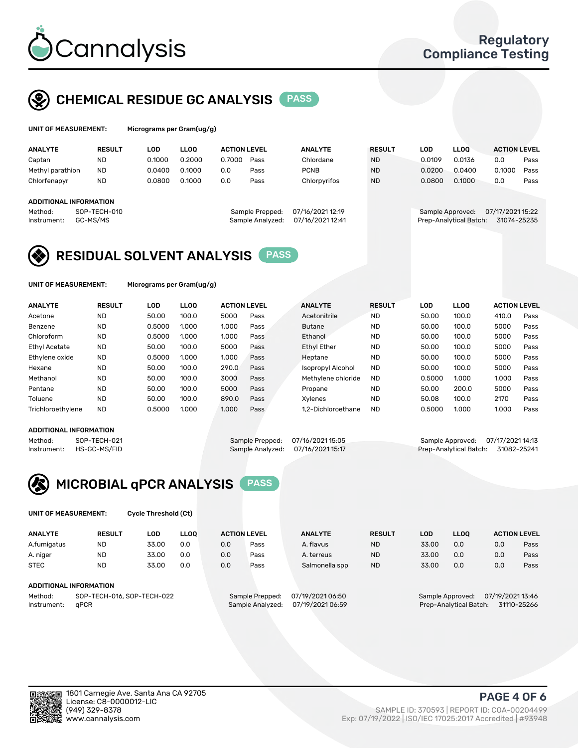

## CHEMICAL RESIDUE GC ANALYSIS PASS

| UNIT OF MEASUREMENT: |                  |               | Micrograms per Gram(ug/g) |        |                     |      |                |               |        |             |                     |      |
|----------------------|------------------|---------------|---------------------------|--------|---------------------|------|----------------|---------------|--------|-------------|---------------------|------|
|                      | <b>ANALYTE</b>   | <b>RESULT</b> | LOD                       | LLOO   | <b>ACTION LEVEL</b> |      | <b>ANALYTE</b> | <b>RESULT</b> | LOD    | <b>LLOO</b> | <b>ACTION LEVEL</b> |      |
|                      | Captan           | <b>ND</b>     | 0.1000                    | 0.2000 | 0.7000              | Pass | Chlordane      | <b>ND</b>     | 0.0109 | 0.0136      | 0.0                 | Pass |
|                      | Methyl parathion | <b>ND</b>     | 0.0400                    | 0.1000 | 0.0                 | Pass | <b>PCNB</b>    | <b>ND</b>     | 0.0200 | 0.0400      | ን.1000              | Pass |

| <b>ADDITIONAL INFORMATION</b> |
|-------------------------------|
|-------------------------------|

| repped:  | 07/16/2021 12:19 |  |
|----------|------------------|--|
| nalyzed: | 07/16/2021 12:41 |  |
|          |                  |  |

Chlorfenapyr ND 0.0800 0.1000 0.0 Pass Chlorpyrifos ND 0.0800 0.1000 0.0 Pass

Method: SOP-TECH-010 Sample Prepped: 07/16/2021 12:19 Sample Approved: 07/17/2021 15:22 Instrument: GC-MS/MS Sample Analyzed: 07/16/2021 12:41 Prep-Analytical Batch: 31074-25235

## RESIDUAL SOLVENT ANALYSIS PASS

UNIT OF MEASUREMENT: Micrograms per Gram(ug/g)

| <b>ANALYTE</b>       | <b>RESULT</b> | LOD    | <b>LLOO</b> | <b>ACTION LEVEL</b> |      | <b>ANALYTE</b>           | <b>RESULT</b> | <b>LOD</b> | <b>LLOO</b> | <b>ACTION LEVEL</b> |      |
|----------------------|---------------|--------|-------------|---------------------|------|--------------------------|---------------|------------|-------------|---------------------|------|
| Acetone              | <b>ND</b>     | 50.00  | 100.0       | 5000                | Pass | Acetonitrile             | <b>ND</b>     | 50.00      | 100.0       | 410.0               | Pass |
| Benzene              | <b>ND</b>     | 0.5000 | 1.000       | 1.000               | Pass | <b>Butane</b>            | <b>ND</b>     | 50.00      | 100.0       | 5000                | Pass |
| Chloroform           | <b>ND</b>     | 0.5000 | 1.000       | 1.000               | Pass | Ethanol                  | <b>ND</b>     | 50.00      | 100.0       | 5000                | Pass |
| <b>Ethyl Acetate</b> | <b>ND</b>     | 50.00  | 100.0       | 5000                | Pass | <b>Ethyl Ether</b>       | <b>ND</b>     | 50.00      | 100.0       | 5000                | Pass |
| Ethylene oxide       | <b>ND</b>     | 0.5000 | 1.000       | 1.000               | Pass | Heptane                  | <b>ND</b>     | 50.00      | 100.0       | 5000                | Pass |
| Hexane               | <b>ND</b>     | 50.00  | 100.0       | 290.0               | Pass | <b>Isopropyl Alcohol</b> | <b>ND</b>     | 50.00      | 100.0       | 5000                | Pass |
| Methanol             | <b>ND</b>     | 50.00  | 100.0       | 3000                | Pass | Methylene chloride       | <b>ND</b>     | 0.5000     | 1.000       | 1.000               | Pass |
| Pentane              | <b>ND</b>     | 50.00  | 100.0       | 5000                | Pass | Propane                  | <b>ND</b>     | 50.00      | 200.0       | 5000                | Pass |
| Toluene              | <b>ND</b>     | 50.00  | 100.0       | 890.0               | Pass | Xvlenes                  | <b>ND</b>     | 50.08      | 100.0       | 2170                | Pass |
| Trichloroethylene    | <b>ND</b>     | 0.5000 | 1.000       | 1.000               | Pass | 1.2-Dichloroethane       | <b>ND</b>     | 0.5000     | 1.000       | 1.000               | Pass |

#### ADDITIONAL INFORMATION

Method: SOP-TECH-021 Sample Prepped: 07/16/2021 15:05 Sample Approved: 07/17/2021 14:13<br>Instrument: HS-GC-MS/FID Sample Analyzed: 07/16/2021 15:17 Prep-Analytical Batch: 31082-25241 Prep-Analytical Batch: 31082-25241



UNIT OF MEASUREMENT: Cycle Threshold (Ct)

| <b>ANALYTE</b>                        | <b>RESULT</b>          | LOD   | <b>LLOO</b> | <b>ACTION LEVEL</b> |                                     | <b>ANALYTE</b> | <b>RESULT</b> | LOD   | <b>LLOO</b>      | <b>ACTION LEVEL</b> |      |
|---------------------------------------|------------------------|-------|-------------|---------------------|-------------------------------------|----------------|---------------|-------|------------------|---------------------|------|
| A.fumigatus                           | <b>ND</b>              | 33.00 | 0.0         | 0.0                 | Pass                                | A. flavus      | <b>ND</b>     | 33.00 | 0.0              | 0.0                 | Pass |
| A. niger                              | <b>ND</b>              | 33.00 | 0.0         | 0.0                 | Pass                                | A. terreus     | <b>ND</b>     | 33.00 | 0.0              | 0.0                 | Pass |
| <b>STEC</b>                           | <b>ND</b>              | 33.00 | 0.0         | 0.0                 | Pass                                | Salmonella spp | <b>ND</b>     | 33.00 | 0.0              | 0.0                 | Pass |
|                                       | ADDITIONAL INFORMATION |       |             |                     |                                     |                |               |       |                  |                     |      |
| SOP-TECH-016, SOP-TECH-022<br>Method: |                        |       |             |                     | 07/19/2021 06:50<br>Sample Prepped: |                |               |       | Sample Approved: | 07/19/2021 13:46    |      |

Instrument: qPCR **Gramphic Analyzed: 07/19/2021 06:59** Prep-Analytical Batch: 31110-25266

PAGE 4 OF 6

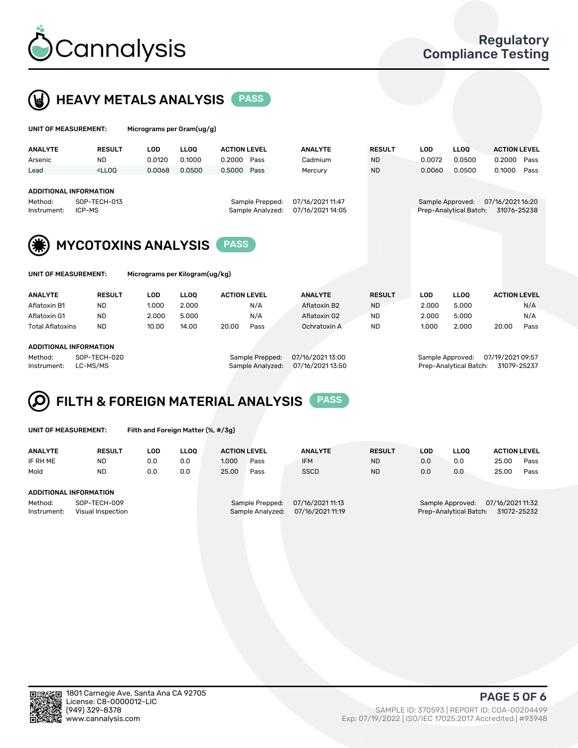



| UNIT OF MEASUREMENT:                                                                                                                                             |               | Micrograms per Gram(ug/g)      |             |                     |                |               |                                                                               |                   |                     |  |
|------------------------------------------------------------------------------------------------------------------------------------------------------------------|---------------|--------------------------------|-------------|---------------------|----------------|---------------|-------------------------------------------------------------------------------|-------------------|---------------------|--|
| <b>ANALYTE</b>                                                                                                                                                   | <b>RESULT</b> | <b>LOD</b>                     | <b>LLOO</b> | <b>ACTION LEVEL</b> | <b>ANALYTE</b> | <b>RESULT</b> | <b>LOD</b>                                                                    | LLOO <sup>1</sup> | <b>ACTION LEVEL</b> |  |
| Arsenic                                                                                                                                                          | <b>ND</b>     | 0.0120                         | 0.1000      | 0.2000<br>Pass      | Cadmium        | <b>ND</b>     | 0.0072                                                                        | 0.0500            | 0.2000<br>Pass      |  |
| Lead                                                                                                                                                             | $<$ LLOO      | 0.0068                         | 0.0500      | 0.5000<br>Pass      | Mercury        | <b>ND</b>     | 0.0060                                                                        | 0.0500            | 0.1000<br>Pass      |  |
| <b>ADDITIONAL INFORMATION</b><br>07/16/2021 11:47<br>Method:<br>SOP-TECH-013<br>Sample Prepped:<br>Sample Analyzed:<br>07/16/2021 14:05<br>ICP-MS<br>Instrument: |               |                                |             |                     |                |               | 07/16/2021 16:20<br>Sample Approved:<br>Prep-Analytical Batch:<br>31076-25238 |                   |                     |  |
| <b>MYCOTOXINS ANALYSIS</b><br><b>PASS</b>                                                                                                                        |               |                                |             |                     |                |               |                                                                               |                   |                     |  |
| UNIT OF MEASUREMENT:                                                                                                                                             |               | Micrograms per Kilogram(ug/kg) |             |                     |                |               |                                                                               |                   |                     |  |
| <b>ANALYTE</b>                                                                                                                                                   | <b>RESULT</b> | <b>LOD</b>                     | <b>LLOO</b> | <b>ACTION LEVEL</b> | <b>ANALYTE</b> | <b>RESULT</b> | <b>LOD</b>                                                                    | <b>LLOQ</b>       | <b>ACTION LEVEL</b> |  |
| Aflatoxin B1                                                                                                                                                     | <b>ND</b>     | 1.000                          | 2.000       | N/A                 | Aflatoxin B2   | <b>ND</b>     | 2.000                                                                         | 5.000             | N/A                 |  |
| Aflatoxin G1                                                                                                                                                     | <b>ND</b>     | 2.000                          | 5.000       | N/A                 | Aflatoxin G2   | <b>ND</b>     | 2.000                                                                         | 5.000             | N/A                 |  |

Total Aflatoxins ND 10.00 14.00 20.00 Pass Ochratoxin A ND 1.000 2.000 20.00 Pass

#### ADDITIONAL INFORMATION

Method: SOP-TECH-020 Sample Prepped: 07/16/2021 13:00 Sample Approved: 07/19/2021 09:57 Instrument: LC-MS/MS Sample Analyzed: 07/16/2021 13:50 Prep-Analytical Batch: 31079-25237

# FILTH & FOREIGN MATERIAL ANALYSIS PASS

UNIT OF MEASUREMENT: Filth and Foreign Matter (%, #/3g)

| <b>ANALYTE</b>                                              | <b>RESULT</b> | LOD | <b>LLOO</b> | <b>ACTION LEVEL</b>                                                         |      | <b>ANALYTE</b><br><b>RESULT</b> |                                                                               | LOD | <b>LLOO</b> | <b>ACTION LEVEL</b> |      |
|-------------------------------------------------------------|---------------|-----|-------------|-----------------------------------------------------------------------------|------|---------------------------------|-------------------------------------------------------------------------------|-----|-------------|---------------------|------|
| IF RH ME                                                    | <b>ND</b>     | 0.0 | 0.0         | 1.000                                                                       | Pass | <b>IFM</b>                      | <b>ND</b>                                                                     | 0.0 | 0.0         | 25.00               | Pass |
| Mold                                                        | <b>ND</b>     | 0.0 | 0.0         | 25.00                                                                       | Pass | <b>SSCD</b>                     | <b>ND</b>                                                                     | 0.0 | 0.0         | 25.00               | Pass |
| ADDITIONAL INFORMATION                                      |               |     |             |                                                                             |      |                                 |                                                                               |     |             |                     |      |
| Method:<br>SOP-TECH-009<br>Instrument:<br>Visual Inspection |               |     |             | 07/16/2021 11:13<br>Sample Prepped:<br>07/16/2021 11:19<br>Sample Analyzed: |      |                                 | 07/16/2021 11:32<br>Sample Approved:<br>Prep-Analytical Batch:<br>31072-25232 |     |             |                     |      |